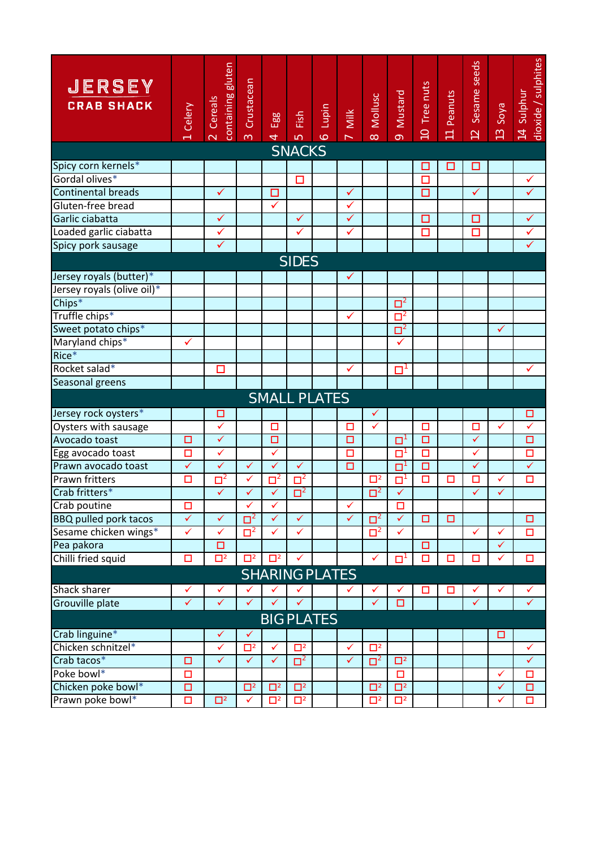| <b>JERSEY</b><br><b>CRAB SHACK</b> | Celery       | containing gluten<br>Cereals<br>$\overline{\mathsf{N}}$ | Crustacean<br>$\infty$ | Egg<br>$\overline{4}$ | Fish<br>$\overline{10}$ | Lupin<br>$\ddot{\circ}$ | $M$ ilk<br>$\overline{\phantom{0}}$ | Mollusc<br>$\infty$  | Mustard<br>$\sigma$ | Tree nuts<br>$\cup$ | Peanuts<br>$\overline{\overline{a}}$ | Sesame seeds<br>$\overline{2}$ | Soya<br>$\mathbf{S}$ | dioxide / sulphites<br>Sulphur<br>$\overline{4}$ |
|------------------------------------|--------------|---------------------------------------------------------|------------------------|-----------------------|-------------------------|-------------------------|-------------------------------------|----------------------|---------------------|---------------------|--------------------------------------|--------------------------------|----------------------|--------------------------------------------------|
| <b>SNACKS</b>                      |              |                                                         |                        |                       |                         |                         |                                     |                      |                     |                     |                                      |                                |                      |                                                  |
| Spicy corn kernels*                |              |                                                         |                        |                       |                         |                         |                                     |                      |                     | □                   | □                                    | □                              |                      |                                                  |
| Gordal olives*                     |              |                                                         |                        |                       | □                       |                         |                                     |                      |                     | □                   |                                      |                                |                      | $\checkmark$                                     |
| <b>Continental breads</b>          |              | ✓                                                       |                        | □                     |                         |                         | ✓                                   |                      |                     | □                   |                                      | $\checkmark$                   |                      | $\checkmark$                                     |
| Gluten-free bread                  |              |                                                         |                        | $\checkmark$          |                         |                         | ✓                                   |                      |                     |                     |                                      |                                |                      |                                                  |
| Garlic ciabatta                    |              | $\checkmark$                                            |                        |                       | $\checkmark$            |                         | $\checkmark$                        |                      |                     | □                   |                                      | □                              |                      | $\checkmark$                                     |
| Loaded garlic ciabatta             |              | $\checkmark$                                            |                        |                       | $\checkmark$            |                         | ✓                                   |                      |                     | $\Box$              |                                      | $\Box$                         |                      | $\checkmark$                                     |
| Spicy pork sausage                 |              | $\checkmark$                                            |                        |                       |                         |                         |                                     |                      |                     |                     |                                      |                                |                      | $\checkmark$                                     |
| <b>SIDES</b>                       |              |                                                         |                        |                       |                         |                         |                                     |                      |                     |                     |                                      |                                |                      |                                                  |
| Jersey royals (butter)*            |              |                                                         |                        |                       |                         |                         | $\checkmark$                        |                      |                     |                     |                                      |                                |                      |                                                  |
| Jersey royals (olive oil)*         |              |                                                         |                        |                       |                         |                         |                                     |                      |                     |                     |                                      |                                |                      |                                                  |
| $Chips*$                           |              |                                                         |                        |                       |                         |                         |                                     |                      | $\Box^2$            |                     |                                      |                                |                      |                                                  |
| Truffle chips*                     |              |                                                         |                        |                       |                         |                         | ✓                                   |                      | $\Box^2$            |                     |                                      |                                |                      |                                                  |
| Sweet potato chips*                |              |                                                         |                        |                       |                         |                         |                                     |                      | $\Box^2$            |                     |                                      |                                | $\checkmark$         |                                                  |
| Maryland chips*                    | ✓            |                                                         |                        |                       |                         |                         |                                     |                      | ✓                   |                     |                                      |                                |                      |                                                  |
| Rice*                              |              |                                                         |                        |                       |                         |                         |                                     |                      |                     |                     |                                      |                                |                      |                                                  |
| Rocket salad*                      |              | □                                                       |                        |                       |                         |                         | ✓                                   |                      | □                   |                     |                                      |                                |                      | $\checkmark$                                     |
| Seasonal greens                    |              |                                                         |                        |                       |                         |                         |                                     |                      |                     |                     |                                      |                                |                      |                                                  |
| <b>SMALL PLATES</b>                |              |                                                         |                        |                       |                         |                         |                                     |                      |                     |                     |                                      |                                |                      |                                                  |
| Jersey rock oysters*               |              | □                                                       |                        |                       |                         |                         |                                     | ✓                    |                     |                     |                                      |                                |                      | о                                                |
| Oysters with sausage               |              | $\checkmark$                                            |                        | $\Box$                |                         |                         | □                                   | ✓                    |                     | $\Box$              |                                      | $\Box$                         | ✓                    | $\overline{\checkmark}$                          |
| Avocado toast                      | □            | $\checkmark$                                            |                        | □                     |                         |                         | □                                   |                      | $\Box$              | $\Box$              |                                      | $\checkmark$                   |                      | $\Box$                                           |
| Egg avocado toast                  | О            | $\checkmark$                                            |                        | $\checkmark$          |                         |                         | □                                   |                      | О                   | □                   |                                      | $\checkmark$                   |                      | $\Box$                                           |
| Prawn avocado toast                | $\checkmark$ | $\checkmark$                                            | $\checkmark$           | ✓                     | $\checkmark$            |                         | □                                   |                      | $\Box$              | $\Box$              |                                      | ✓                              |                      | $\checkmark$                                     |
| <b>Prawn fritters</b>              | □            | $\Box^2$                                                | $\checkmark$           | $\Box^2$              | $\Box^2$                |                         |                                     | $\Box^2$             | О                   | $\Box$              | □                                    | □                              | $\checkmark$         | $\Box$                                           |
| Crab fritters*                     |              | $\checkmark$                                            | $\checkmark$           | $\checkmark$          | $\mathbf{\square}^2$    |                         |                                     | $\mathbf{\square}^2$ | $\checkmark$        |                     |                                      | $\checkmark$                   | $\checkmark$         |                                                  |
| Crab poutine                       | $\Box$       |                                                         | $\checkmark$           | $\checkmark$          |                         |                         | $\checkmark$                        |                      | $\Box$              |                     |                                      |                                |                      |                                                  |
| <b>BBQ pulled pork tacos</b>       | $\checkmark$ | $\checkmark$                                            | $\Box^2$               | $\checkmark$          | $\checkmark$            |                         | ✓                                   | $\Box^2$             | $\checkmark$        | $\Box$              | $\Box$                               |                                |                      | $\Box$                                           |
| Sesame chicken wings*              | ✓            | ✓                                                       | $\Box^2$               | ✓                     | ✓                       |                         |                                     | $\Box^2$             | ✓                   |                     |                                      | ✓                              | ✓                    | □                                                |
| Pea pakora                         |              | $\Box$                                                  |                        |                       |                         |                         |                                     |                      |                     | $\Box$              |                                      |                                | $\checkmark$         |                                                  |
| Chilli fried squid                 | О            | $\overline{\Box}{}^2$                                   | $\Box^2$               | $\Box^2$              | ✓                       |                         |                                     | $\checkmark$         | $\Box^1$            | $\Box$              | □                                    | □                              | ✓                    | $\Box$                                           |
| <b>SHARING PLATES</b>              |              |                                                         |                        |                       |                         |                         |                                     |                      |                     |                     |                                      |                                |                      |                                                  |
| Shack sharer                       | ✓            | ✓                                                       | $\checkmark$           | ✓                     | $\checkmark$            |                         |                                     | ✓                    |                     | □                   | □                                    | ✓                              | ✓                    | ✓                                                |
| Grouville plate                    | $\checkmark$ | ✓                                                       | $\checkmark$           | ✓                     | ✓                       |                         |                                     | $\checkmark$         | □                   |                     |                                      | ✓                              |                      | $\checkmark$                                     |
| <b>BIG PLATES</b>                  |              |                                                         |                        |                       |                         |                         |                                     |                      |                     |                     |                                      |                                |                      |                                                  |
| Crab linguine*                     |              | ✓                                                       | ✓                      |                       |                         |                         |                                     |                      |                     |                     |                                      |                                | □                    |                                                  |
| Chicken schnitzel*                 |              | ✓                                                       | $\Box^2$               | ✓                     | $\Box^2$                |                         | ✓                                   | $\Box^2$             |                     |                     |                                      |                                |                      | $\checkmark$                                     |
| Crab tacos*                        | $\Box$       | $\checkmark$                                            | $\checkmark$           | $\checkmark$          | $\Box^2$                |                         | $\checkmark$                        | $\Box^2$             | $\Box^2$            |                     |                                      |                                |                      | $\checkmark$                                     |
| Poke bowl*                         | □            |                                                         |                        |                       |                         |                         |                                     |                      | □                   |                     |                                      |                                | ✓                    | □                                                |
| Chicken poke bowl*                 | Ο            |                                                         | $\Box^2$               | $\Box^2$              | $\Box^2$                |                         |                                     | $\Box^2$             | $\Box^2$            |                     |                                      |                                | $\checkmark$         | $\Box$                                           |
| Prawn poke bowl*                   | О            | $\Box^2$                                                | $\checkmark$           | $\Box^2$              | $\Box^2$                |                         |                                     | $\Box^2$             | $\Box^2$            |                     |                                      |                                | $\checkmark$         | $\Box$                                           |